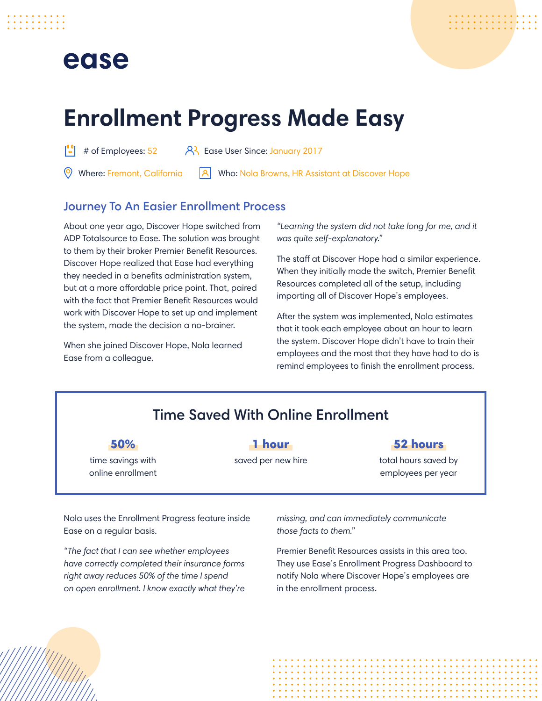## ease



# **Enrollment Progress Made Easy**

 $\begin{bmatrix} 0 & 0 \\ 0 & 0 \end{bmatrix}$  # of Employees: 52  $\begin{bmatrix} 0 & 0 \\ 0 & 1 \end{bmatrix}$  Ease User Since: January 2017

Where: Fremont, California

ا ا ا Who: Nola Browns, HR Assistant at Discover Hope

#### Journey To An Easier Enrollment Process

About one year ago, Discover Hope switched from ADP Totalsource to Ease. The solution was brought to them by their broker Premier Benefit Resources. Discover Hope realized that Ease had everything they needed in a benefits administration system, but at a more affordable price point. That, paired with the fact that Premier Benefit Resources would work with Discover Hope to set up and implement the system, made the decision a no-brainer.

When she joined Discover Hope, Nola learned Ease from a colleague.

*"Learning the system did not take long for me, and it was quite self-explanatory."* 

The staff at Discover Hope had a similar experience. When they initially made the switch, Premier Benefit Resources completed all of the setup, including importing all of Discover Hope's employees.

After the system was implemented, Nola estimates that it took each employee about an hour to learn the system. Discover Hope didn't have to train their employees and the most that they have had to do is remind employees to finish the enrollment process.

### Time Saved With Online Enrollment

50%

time savings with online enrollment

#### 1 hour saved per new hire

#### 52 hours

total hours saved by employees per year

Nola uses the Enrollment Progress feature inside Ease on a regular basis.

*"The fact that I can see whether employees have correctly completed their insurance forms right away reduces 50% of the time I spend on open enrollment. I know exactly what they're*  *missing, and can immediately communicate those facts to them."*

Premier Benefit Resources assists in this area too. They use Ease's Enrollment Progress Dashboard to notify Nola where Discover Hope's employees are in the enrollment process.